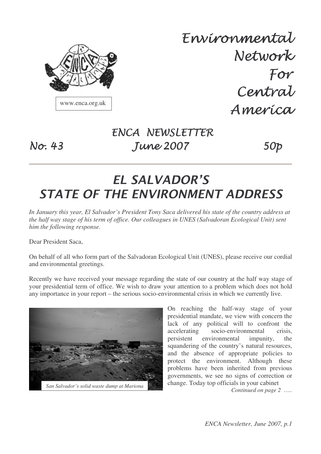

www.enca.org.uk

Envíronmental Network For Central America

## ENCA NEWSLETTER **Iune 2007** 50p

# EL SALVADOR'S **STATE OF THE ENVIRONMENT ADDRESS**

*In January this year, El Salvador's President Tony Saca delivered his state of the country address at the half way stage of his term of office. Our colleagues in UNES (Salvadoran Ecological Unit) sent him the following response.*

Dear President Saca,

 $N\sigma$ : 43

On behalf of all who form part of the Salvadoran Ecological Unit (UNES), please receive our cordial and environmental greetings.

Recently we have received your message regarding the state of our country at the half way stage of your presidential term of office. We wish to draw your attention to a problem which does not hold any importance in your report – the serious socio-environmental crisis in which we currently live.



On reaching the half-way stage of your presidential mandate, we view with concern the lack of any political will to confront the accelerating socio-environmental crisis, persistent environmental impunity, the squandering of the country's natural resources, and the absence of appropriate policies to protect the environment. Although these problems have been inherited from previous governments, we see no signs of correction or change. Today top officials in your cabinet

*Continued on page 2 …..*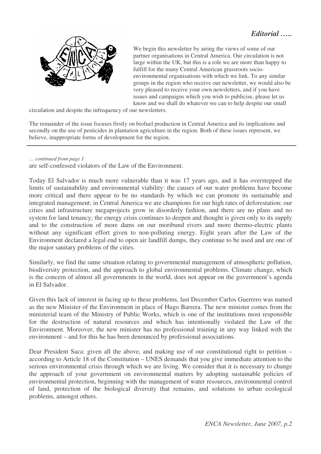

We begin this newsletter by airing the views of some of our partner organisations in Central America. Our circulation is not large within the UK, but this is a role we are more than happy to fulfill for the many Central American grassroots socioenvironmental organisations with which we link. To any similar groups in the region who receive our newsletter, we would also be very pleased to receive your own newsletters, and if you have issues and campaigns which you wish to publicise, please let us know and we shall do whatever we can to help despite our small

circulation and despite the infrequency of our newsletters.

The remainder of the issue focuses firstly on biofuel production in Central America and its implications and secondly on the use of pesticides in plantation agriculture in the region. Both of these issues represent, we believe, inappropriate forms of development for the region.

*… continued from page 1*

are self-confessed violators of the Law of the Environment.

Today El Salvador is much more vulnerable than it was 17 years ago, and it has overstepped the limits of sustainability and environmental viability: the causes of our water problems have become more critical and there appear to be no standards by which we can promote its sustainable and integrated management; in Central America we are champions for our high rates of deforestation; our cities and infrastructure megaprojects grow in disorderly fashion, and there are no plans and no system for land tenancy; the energy crisis continues to deepen and thought is given only to its supply and to the construction of more dams on our moribund rivers and more thermo-electric plants without any significant effort given to non-polluting energy. Eight years after the Law of the Environment declared a legal end to open air landfill dumps, they continue to be used and are one of the major sanitary problems of the cities.

Similarly, we find the same situation relating to governmental management of atmospheric pollution, biodiversity protection, and the approach to global environmental problems. Climate change, which is the concern of almost all governments in the world, does not appear on the government's agenda in El Salvador.

Given this lack of interest in facing up to these problems, last December Carlos Guerrero was named as the new Minister of the Environment in place of Hugo Barrera. The new minister comes from the ministerial team of the Ministry of Public Works, which is one of the institutions most responsible for the destruction of natural resources and which has intentionally violated the Law of the Environment. Moreover, the new minister has no professional training in any way linked with the environment – and for this he has been denounced by professional associations.

Dear President Saca: given all the above, and making use of our constitutional right to petition – according to Article 18 of the Constitution – UNES demands that you give immediate attention to the serious environmental crisis through which we are living. We consider that it is necessary to change the approach of your government on environmental matters by adopting sustainable policies of environmental protection, beginning with the management of water resources, environmental control of land, protection of the biological diversity that remains, and solutions to urban ecological problems, amongst others.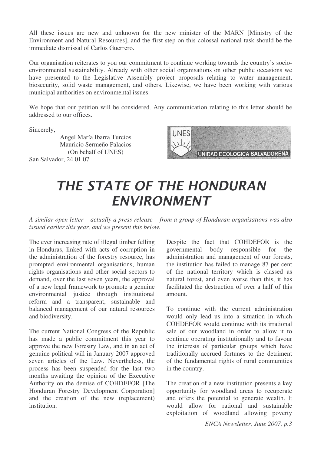All these issues are new and unknown for the new minister of the MARN [Ministry of the Environment and Natural Resources], and the first step on this colossal national task should be the immediate dismissal of Carlos Guerrero.

Our organisation reiterates to you our commitment to continue working towards the country's socioenvironmental sustainability. Already with other social organisations on other public occasions we have presented to the Legislative Assembly project proposals relating to water management, biosecurity, solid waste management, and others. Likewise, we have been working with various municipal authorities on environmental issues.

We hope that our petition will be considered. Any communication relating to this letter should be addressed to our offices.

Sincerely,

Angel María Ibarra Turcios Mauricio Sermeño Palacios (On behalf of UNES) San Salvador, 24.01.07



# THE STATE OF THE HONDURAN **ENVIRONMENT**

*A similar open letter – actually a press release – from a group of Honduran organisations was also issued earlier this year, and we present this below.*

The ever increasing rate of illegal timber felling in Honduras, linked with acts of corruption in the administration of the forestry resource, has prompted environmental organisations, human rights organisations and other social sectors to demand, over the last seven years, the approval of a new legal framework to promote a genuine environmental justice through institutional reform and a transparent, sustainable and balanced management of our natural resources and biodiversity.

The current National Congress of the Republic has made a public commitment this year to approve the new Forestry Law, and in an act of genuine political will in January 2007 approved seven articles of the Law. Nevertheless, the process has been suspended for the last two months awaiting the opinion of the Executive Authority on the demise of COHDEFOR [The Honduran Forestry Development Corporation] and the creation of the new (replacement) institution.

Despite the fact that COHDEFOR is the governmental body responsible for the administration and management of our forests, the institution has failed to manage 87 per cent of the national territory which is classed as natural forest, and even worse than this, it has facilitated the destruction of over a half of this amount.

To continue with the current administration would only lead us into a situation in which COHDEFOR would continue with its irrational sale of our woodland in order to allow it to continue operating institutionally and to favour the interests of particular groups which have traditionally accrued fortunes to the detriment of the fundamental rights of rural communities in the country.

The creation of a new institution presents a key opportunity for woodland areas to recuperate and offers the potential to generate wealth. It would allow for rational and sustainable exploitation of woodland allowing poverty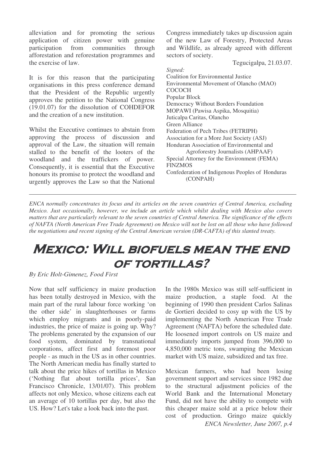alleviation and for promoting the serious application of citizen power with genuine participation from communities through afforestation and reforestation programmes and the exercise of law.

It is for this reason that the participating organisations in this press conference demand that the President of the Republic urgently approves the petition to the National Congress (19.01.07) for the dissolution of COHDEFOR and the creation of a new institution.

Whilst the Executive continues to abstain from approving the process of discussion and approval of the Law, the situation will remain stalled to the benefit of the looters of the woodland and the traffickers of power. Consequently, it is essential that the Executive honours its promise to protect the woodland and urgently approves the Law so that the National

Congress immediately takes up discussion again of the new Law of Forestry, Protected Areas and Wildlife, as already agreed with different sectors of society.

Tegucigalpa, 21.03.07.

*Signed:* Coalition for Environmental Justice Environmental Movement of Olancho (MAO) **COCOCH** Popular Block Democracy Without Borders Foundation MOPAWI (Pawisa Aspika, Mosquitia) Juticalpa Caritas, Olancho Green Alliance Federation of Pech Tribes (FETRIPH) Association for a More Just Society (ASJ) Honduran Association of Environmental and Agroforestry Journalists (AHPAAF) Special Attorney for the Environment (FEMA) FINZMOS Confederation of Indigenous Peoples of Honduras (CONPAH)

*ENCA normally concentrates its focus and its articles on the seven countries of Central America, excluding Mexico. Just occasionally, however, we include an article which whilst dealing with Mexico also covers* matters that are particularly relevant to the seven countries of Central America. The significance of the effects of NAFTA (North American Free Trade Agreement) on Mexico will not be lost on all those who have followed *the negotiations and recent signing of the Central American version (DR-CAFTA) of this slanted treaty.*

# MEXICO: WILL BIOFUELS MEAN THE END **OF TORTILLAS?**

#### *By Eric Holt-Gimenez, Food First*

Now that self sufficiency in maize production has been totally destroyed in Mexico, with the main part of the rural labour force working 'on the other side' in slaughterhouses or farms which employ migrants and in poorly-paid industries, the price of maize is going up. Why? The problems generated by the expansion of our food system, dominated by transnational corporations, affect first and foremost poor people - as much in the US as in other countries. The North American media has finally started to talk about the price hikes of tortillas in Mexico ('Nothing flat about tortilla prices', San Francisco Chronicle, 13/01/07). This problem affects not only Mexico, whose citizens each eat an average of 10 tortillas per day, but also the US. How? Let's take a look back into the past.

In the 1980s Mexico was still self-sufficient in maize production, a staple food. At the beginning of 1990 then president Carlos Salinas de Gortieri decided to cosy up with the US by implementing the North American Free Trade Agreement (NAFTA) before the scheduled date. He loosened import controls on US maize and immediately imports jumped from 396,000 to 4,850,000 metric tons, swamping the Mexican market with US maize, subsidized and tax free.

*ENCA Newsletter, June 2007, p.4* Mexican farmers, who had been losing government support and services since 1982 due to the structural adjustment policies of the World Bank and the International Monetary Fund, did not have the ability to compete with this cheaper maize sold at a price below their cost of production. Gringo maize quickly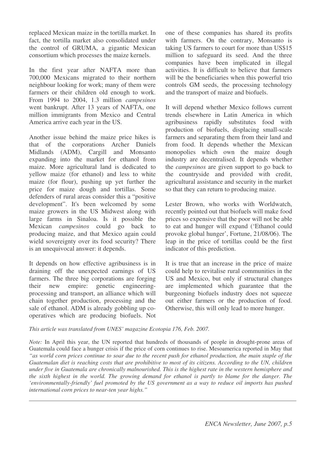replaced Mexican maize in the tortilla market. In fact, the tortilla market also consolidated under the control of GRUMA, a gigantic Mexican consortium which processes the maize kernels.

In the first year after NAFTA more than 700,000 Mexicans migrated to their northern neighbour looking for work; many of them were farmers or their children old enough to work. From 1994 to 2004, 1.3 million *campesinos* went bankrupt. After 13 years of NAFTA, one million immigrants from Mexico and Central America arrive each year in the US.

Another issue behind the maize price hikes is that of the corporations Archer Daniels Midlands (ADM), Cargill and Monsanto expanding into the market for ethanol from maize. More agricultural land is dedicated to yellow maize (for ethanol) and less to white maize (for flour), pushing up yet further the price for maize dough and tortillas. Some defenders of rural areas consider this a "positive development". It's been welcomed by some maize growers in the US Midwest along with large farms in Sinaloa. Is it possible the Mexican *campesinos* could go back to producing maize, and that Mexico again could wield sovereignty over its food security? There is an unequivocal answer: it depends.

It depends on how effective agribusiness is in draining off the unexpected earnings of US farmers. The three big corporations are forging their new empire: genetic engineeringprocessing and transport, an alliance which will chain together production, processing and the sale of ethanol. ADM is already gobbling up cooperatives which are producing biofuels. Not

one of these companies has shared its profits with farmers. On the contrary, Monsanto is taking US farmers to court for more than US\$15 million to safeguard its seed. And the three companies have been implicated in illegal activities. It is difficult to believe that farmers will be the beneficiaries when this powerful trio controls GM seeds, the processing technology and the transport of maize and biofuels.

It will depend whether Mexico follows current trends elsewhere in Latin America in which agribusiness rapidly substitutes food with production of biofuels, displacing small-scale farmers and separating them from their land and from food. It depends whether the Mexican monopolies which own the maize dough industry are decentralised. It depends whether the *campesinos* are given support to go back to the countryside and provided with credit, agricultural assistance and security in the market so that they can return to producing maize.

Lester Brown, who works with Worldwatch, recently pointed out that biofuels will make food prices so expensive that the poor will not be able to eat and hunger will expand ('Ethanol could provoke global hunger', Fortune, 21/08/06). The leap in the price of tortillas could be the first indicator of this prediction.

It is true that an increase in the price of maize could help to revitalise rural communities in the US and Mexico, but only if structural changes are implemented which guarantee that the burgeoning biofuels industry does not squeeze out either farmers or the production of food. Otherwise, this will only lead to more hunger.

#### *This article was translated from UNES' magazine Ecotopia 176, Feb. 2007.*

*Note:* In April this year, the UN reported that hundreds of thousands of people in drought-prone areas of Guatemala could face a hunger crisis if the price of corn continues to rise. Mesoamerica reported in May that "as world corn prices continue to soar due to the recent push for ethanol production, the main staple of the Guatemalan diet is reaching costs that are prohibitive to most of its citizens. According to the UN, children under five in Guatemala are chronically malnourished. This is the highest rate in the western hemisphere and the sixth highest in the world. The growing demand for ethanol is partly to blame for the danger. The *'environmentally-friendly' fuel promoted by the US government as a way to reduce oil imports has pushed international corn prices to near-ten year highs."*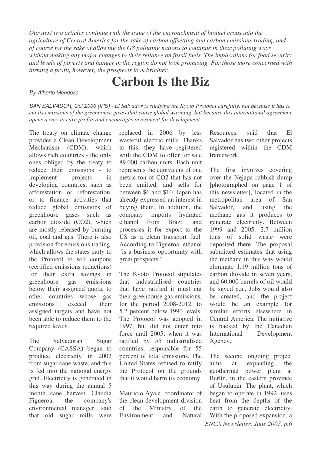*Our next two articles continue with the issue of the encroachment of biofuel crops into the agriculture of Central America for the sake of carbon offsetting and carbon emissions trading, and of course for the sake of allowing the G8 polluting nations to continue in their polluting ways without making any major changes to their reliance on fossil fuels. The implications for food security* and levels of poverty and hunger in the region do not look promising. For those more concerned with *turning a profit, however, the prospects look brighter.*

# **Carbon Is the Biz**

#### *By Alberto Mendoza*

SAN SALVADOR, Oct 2006 (IPS) - El Salvador is studying the Kyoto Protocol carefully, not because it has to *cut its emissions of the greenhouse gases that cause global warming, but because this international agreement opens a way to earn profits and encourages investment for development.*

The treaty on climate change provides a Clean Development Mechanism (CDM), which allows rich countries - the only ones obliged by the treaty to reduce their emissions - to implement projects in developing countries, such as afforestation or reforestation, or to finance activities that reduce global emissions of greenhouse gases such as carbon dioxide (CO2), which are mostly released by burning oil, coal and gas. There is also provision for emissions trading, which allows the states party to the Protocol to sell coupons (certified emissions reductions) for their extra savings in greenhouse gas emissions below their assigned quota, to other countries whose gas emissions exceed their assigned targets and have not been able to reduce them to the required levels.

The Salvadoran Sugar Company (CASSA) began to produce electricity in 2002 from sugar cane waste, and this is fed into the national energy grid. Electricity is generated in this way during the annual 5 month cane harvest. Claudia Figueroa, the company's environmental manager, said that old sugar mills were

replaced in 2006 by less wasteful electric mills. Thanks to this, they have registered with the CDM to offer for sale 89,000 carbon units. Each unit represents the equivalent of one metric ton of CO2 that has not been emitted, and sells for between \$6 and \$10. Japan has already expressed an interest in buying them. In addition, the company imports hydrated ethanol from Brazil and processes it for export to the US as a clean transport fuel. According to Figueroa, ethanol "is a business opportunity with great prospects."

The Kyoto Protocol stipulates that industrialised countries that have ratified it must cut their greenhouse gas emissions, for the period 2008-2012, to 5.2 percent below 1990 levels. The Protocol was adopted in 1997, but did not enter into force until 2005, when it was ratified by 55 industrialised countries, responsible for 55 percent of total emissions. The United States refused to ratify the Protocol on the grounds that it would harm its economy.

Mauricio Ayala, coordinator of the clean development division of the Ministry of the Environment and Natural

Resources, said that El Salvador has two other projects registered within the CDM framework.

The first involves covering over the Nejapa rubbish dump [photographed on page 1 of this newsletter], located in the metropolitan area of San Salvador, and using the methane gas it produces to generate electricity. Between 1999 and 2005, 2.7 million tons of solid waste were deposited there. The proposal submitted estimates that using the methane in this way would eliminate 1.19 million tons of carbon dioxide in seven years, and 60,000 barrels of oil would be saved p.a.. Jobs would also be created, and the project would be an example for similar efforts elsewhere in Central America. The initiative is backed by the Canadian International Development Agency.

*ENCA Newsletter, June 2007, p.6* The second ongoing project aims at expanding the geothermal power plant at Berlín, in the eastern province of Usulután. The plant, which began to operate in 1992, uses heat from the depths of the earth to generate electricity. With the proposed expansion, a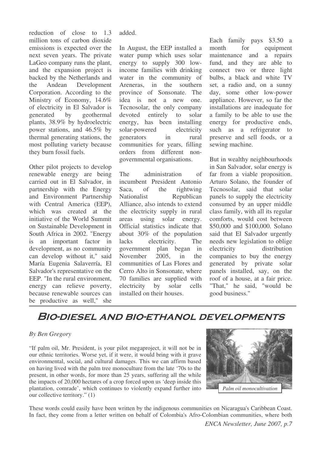reduction of close to 1.3 million tons of carbon dioxide emissions is expected over the next seven years. The private LaGeo company runs the plant, and the expansion project is backed by the Netherlands and the Andean Development Corporation. According to the Ministry of Economy, 14.6% of electricity in El Salvador is generated by geothermal plants, 38.9% by hydroelectric power stations, and 46.5% by thermal generating stations, the most polluting variety because they burn fossil fuels.

Other pilot projects to develop renewable energy are being carried out in El Salvador, in partnership with the Energy and Environment Partnership with Central America (EEP), which was created at the initiative of the World Summit on Sustainable Development in South Africa in 2002. "Energy is an important factor in development, as no community can develop without it," said María Eugenia Salaverría, El Salvador's representative on the EEP. "In the rural environment, energy can relieve poverty, because renewable sources can be productive as well," she

added.

In August, the EEP installed a water pump which uses solar energy to supply 300 lowincome families with drinking water in the community of Areneras, in the southern province of Sonsonate. The idea is not a new one. Tecnosolar, the only company devoted entirely to solar energy, has been installing solar-powered electricity generators in rural communities for years, filling orders from different nongovernmental organisations.

The administration of incumbent President Antonio Saca, of the rightwing Nationalist Republican Alliance, also intends to extend the electricity supply in rural areas using solar energy. Official statistics indicate that about 30% of the population lacks electricity. The government plan began in November 2005, in the communities of Las Flores and Cerro Alto in Sonsonate, where 70 families are supplied with electricity by solar cells installed on their houses.

Each family pays \$3.50 a month for equipment maintenance and a repairs fund, and they are able to connect two or three light bulbs, a black and white TV set, a radio and, on a sunny day, some other low-power appliance. However, so far the installations are inadequate for a family to be able to use the energy for productive ends, such as a refrigerator to preserve and sell foods, or a sewing machine.

But in wealthy neighbourhoods in San Salvador, solar energy is far from a viable proposition. Arturo Solano, the founder of Tecnosolar, said that solar panels to supply the electricity consumed by an upper middle class family, with all its regular comforts, would cost between \$50,000 and \$100,000. Solano said that El Salvador urgently needs new legislation to oblige electricity distribution companies to buy the energy generated by private solar panels installed, say, on the roof of a house, at a fair price. "That," he said, "would be good business."

## BIO-DIESEL AND BIO-ETHANOL DEVELOPMENTS

#### *By Ben Gregory*

"If palm oil, Mr. President, is your pilot megaproject, it will not be in our ethnic territories. Worse yet, if it were, it would bring with it grave environmental, social, and cultural damages. This we can affirm based on having lived with the palm tree monoculture from the late '70s to the present, in other words, for more than 25 years, suffering all the while the impacts of 20,000 hectares of a crop forced upon us 'deep inside this plantation, comrade', which continues to violently expand further into our collective territory." (1)



These words could easily have been written by the indigenous communities on Nicaragua's Caribbean Coast. In fact, they come from a letter written on behalf of Colombia's Afro-Colombian communities, where both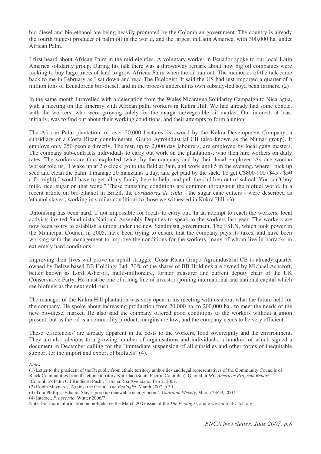bio-diesel and bio-ethanol are being heavily promoted by the Colombian government. The country is already the fourth biggest producer of palm oil in the world, and the largest in Latin America, with 300,000 ha. under African Palm.

I first heard about African Palm in the mid-eighties. A voluntary worker in Ecuador spoke to our local Latin America solidarity group. During his talk there was a throwaway remark about how big oil companies were looking to buy large tracts of land to grow African Palm when the oil ran out. The memories of the talk came back to me in February as I sat down and read The Ecologist. It said the US had just imported a quarter of a million tons of Ecuadorean bio-diesel, and in the process undercut its own subsidy-fed soya bean farmers. (2)

In the same month I travelled with a delegation from the Wales Nicaragua Solidarity Campaign to Nicaragua, with a meeting on the itinerary with African palm workers in Kukra Hill. We had already had some contact with the workers, who were growing solely for the margarine/vegetable oil market. Our interest, at least initially, was to find out about their working conditions, and their attempts to form a union.

The African Palm plantation, of over 20,000 hectares, is owned by the Kukra Development Company, a subsidiary of a Costa Rican conglomerate, Grupo Agroindustrial CB (also known as the Numar group). It employs only 250 people directly. The rest, up to 2,000 day labourers, are employed by local gang masters. The company sub-contracts individuals to carry out work on the plantations, who then hire workers on daily rates. The workers are thus exploited twice, by the company and by their local employer. As one woman worker told us, "I wake up at 2 o clock, go to the field at 3am, and work until 5 in the evening, where I pick up seed and clean the palm. I manage 20 manzanas a day, and get paid by the sack. To get C\$800-900 (\$45 - \$50) a fortnight) I would have to get all my family here to help, and pull the children out of school. You can't buy milk, rice, sugar on that wage." These punishing conditions are common throughout the biofuel world. In a recent article on bio-ethanol in Brazil, the *cortadores de caña* - the sugar cane cutters - were described as 'ethanol slaves', working in similar conditions to those we witnessed in Kukra Hill. (3)

Unionising has been hard, if not impossible for locals to carry out. In an attempt to reach the workers, local activists invited Sandinista National Assembly Deputies to speak to the workers last year. The workers are now keen to try to establish a union under the new Sandinista government. The FSLN, which took power in the Municipal Council in 2005, have been trying to ensure that the company pays its taxes, and have been working with the management to improve the conditions for the workers, many of whom live in barracks in extremely hard conditions.

Improving their lives will prove an uphill struggle. Costa Rican Grupo Agroindustrial CB is already quarter owned by Belize based BB Holdings Ltd. 70% of the shares of BB Holdings are owned by Michael Ashcroft, better known as Lord Ashcroft, multi-millionaire, former treasurer and current deputy chair of the UK Conservative Party. He must be one of a long line of investors joining international and national capital which see biofuels as the next gold-rush.

The manager of the Kukra Hill plantation was very open in his meeting with us about what the future held for the company. He spoke about increasing production from 20,000 ha. to 200,000 ha., to meet the needs of the new bio-diesel market. He also said the company offered good conditions to the workers without a union present, but as the oil is a commodity product, margins are low, and the company needs to be very efficient.

These 'efficiencies' are already apparent in the costs to the workers, food sovereignty and the environment. They are also obvious to a growing number of organisations and individuals, a hundred of which signed a document in December calling for the "immediate suspension of all subsidies and other forms of inequitable support for the import and export of biofuels" (4).

*Notes*

- (1) Letter to the president of the Republic from ethnic territory authorities and legal representatives of the Community Councils of Black Communities from the ethnic territory Kurrulao (South Pacific Colombia). Quoted in *IRC Americas Program Report '*Colombia's Palm Oil Biodiesel Push', Tatiana Roa Avendaño, Feb 2, 2007.
- (2) Robin Maynard, 'Against the Grain', *The Ecologist*, March 2007, p.30.

(4) Interact, *Progressio*, Winter 2006/7

<sup>(3)</sup> Tom Phillips, 'Ethanol Slaves prop up renewable energy boom', *Guardian Weekly*, March 23/29, 2007

Note: For more information on biofuels see the March 2007 issue of the *The Ecologist*, and www.biofuelwatch.org.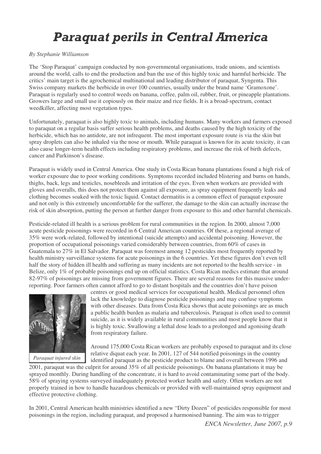# Paraquat perils in Central America

#### *By Stephanie Williamson*

The 'Stop Paraquat' campaign conducted by non-governmental organisations, trade unions, and scientists around the world, calls to end the production and ban the use of this highly toxic and harmful herbicide. The critics' main target is the agrochemical multinational and leading distributor of paraquat, Syngenta. This Swiss company markets the herbicide in over 100 countries, usually under the brand name 'Gramoxone'. Paraquat is regularly used to control weeds on banana, coffee, palm oil, rubber, fruit, or pineapple plantations. Growers large and small use it copiously on their maize and rice fields. It is a broad-spectrum, contact weedkiller, affecting most vegetation types.

Unfortunately, paraquat is also highly toxic to animals, including humans. Many workers and farmers exposed to paraquat on a regular basis suffer serious health problems, and deaths caused by the high toxicity of the herbicide, which has no antidote, are not infrequent. The most important exposure route is via the skin but spray droplets can also be inhaled via the nose or mouth. While paraquat is known for its acute toxicity, it can also cause longer-term health effects including respiratory problems, and increase the risk of birth defects, cancer and Parkinson's disease.

Paraquat is widely used in Central America. One study in Costa Rican banana plantations found a high risk of worker exposure due to poor working conditions. Symptoms recorded included blistering and burns on hands, thighs, back, legs and testicles, nosebleeds and irritation of the eyes. Even when workers are provided with gloves and overalls, this does not protect them against all exposure, as spray equipment frequently leaks and clothing becomes soaked with the toxic liquid. Contact dermatitis is a common effect of paraquat exposure and not only is this extremely uncomfortable for the sufferer, the damage to the skin can actually increase the risk of skin absorption, putting the person at further danger from exposure to this and other harmful chemicals.

Pesticide-related ill health is a serious problem for rural communities in the region. In 2000, almost 7,000 acute pesticide poisonings were recorded in 6 Central American countries. Of these, a regional average of 35% were work-related, followed by intentional (suicide attempts) and accidental poisoning. However, the proportion of occupational poisonings varied considerably between countries, from 60% of cases in Guatemala to 27% in El Salvador. Paraquat was foremost among 12 pesticides most frequently reported by health ministry surveillance systems for acute poisonings in the 6 countries. Yet these figures don't even tell half the story of hidden ill health and suffering as many incidents are not reported to the health service - in Belize, only 1% of probable poisonings end up on official statistics. Costa Rican medics estimate that around 82-97% of poisonings are missing from government figures. There are several reasons for this massive underreporting. Poor farmers often cannot afford to go to distant hospitals and the countries don't have poison



centres or good medical services for occupational health. Medical personnel often lack the knowledge to diagnose pesticide poisonings and may confuse symptoms with other diseases. Data from Costa Rica shows that acute poisonings are as much a public health burden as malaria and tuberculosis. Paraquat is often used to commit suicide, as it is widely available in rural communities and most people know that it is highly toxic. Swallowing a lethal dose leads to a prolonged and agonising death from respiratory failure.

Around 175,000 Costa Rican workers are probably exposed to paraquat and its close relative diquat each year. In 2001, 127 of 544 notified poisonings in the country identified paraquat as the pesticide product to blame and overall between 1996 and

2001, paraquat was the culprit for around 35% of all pesticide poisonings. On banana plantations it may be sprayed monthly. During handling of the concentrate, it is hard to avoid contaminating some part of the body. 58% of spraying systems surveyed inadequately protected worker health and safety. Often workers are not properly trained in how to handle hazardous chemicals or provided with well-maintained spray equipment and effective protective clothing.

In 2001, Central American health ministries identified a new "Dirty Dozen" of pesticides responsible for most poisonings in the region, including paraquat, and proposed a harmonised banning. The aim was to trigger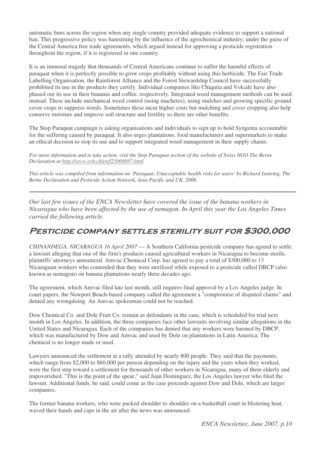automatic bans across the region when any single country provided adequate evidence to support a national ban. This progressive policy was hamstrung by the influence of the agrochemical industry, under the guise of the Central America free trade agreements, which argued instead for approving a pesticide registration throughout the region, if it is registered in one country.

It is an immoral tragedy that thousands of Central Americans continue to suffer the harmful effects of paraquat when it is perfectly possible to grow crops profitably without using this herbicide. The Fair Trade Labelling Organisation, the Rainforest Alliance and the Forest Stewardship Council have successfully prohibited its use in the products they certify. Individual companies like Chiquita and Volcafe have also phased out its use in their bananas and coffee, respectively. Integrated weed management methods can be used instead. These include mechanical weed control (using machetes), using mulches and growing specific ground cover crops to suppress weeds. Sometimes these incur higher costs but mulching and cover cropping also help conserve moisture and improve soil structure and fertility so there are other benefits.

The Stop Paraquat campaign is asking organisations and individuals to sign up to hold Syngenta accountable for the suffering caused by paraquat. It also urges plantations, food manufacturers and supermarkets to make an ethical decision to stop its use and to support integrated weed management in their supply chains.

For more information and to take action, visit the Stop Paraquat section of the website of Swiss NGO The Berne *Declaration at http://www.evb.ch/en/f25000087.html*

This article was compiled from information on 'Paraquat: Unacceptable health risks for users' by Richard Isenring, The *Berne Declaration and Pesticide Action Network, Asia-Pacific and UK, 2006.*

*Our last few issues of the ENCA Newsletter have covered the issue of the banana workers in Nicaragua who have been affected by the use of nemagon. In April this year the Los Angeles Times carried the following article.*

### PESTICIDE COMPANY SETTLES STERILITY SUIT FOR \$300,000

*CHINANDEGA, NICARAGUA 16 April 2007* — A Southern California pesticide company has agreed to settle a lawsuit alleging that one of the firm's products caused agricultural workers in Nicaragua to become sterile, plaintiffs'attorneys announced. Amvac Chemical Corp. has agreed to pay a total of \$300,000 to 13 Nicaraguan workers who contended that they were sterilized while exposed to a pesticide called DBCP (also known as nemagon) on banana plantations nearly three decades ago.

The agreement, which Amvac filed late last month, still requires final approval by a Los Angeles judge. In court papers, the Newport Beach-based company called the agreement a "compromise of disputed claims" and denied any wrongdoing. An Amvac spokesman could not be reached.

Dow Chemical Co. and Dole Fruit Co. remain as defendants in the case, which is scheduled for trial next month in Los Angeles. In addition, the three companies face other lawsuits involving similar allegations in the United States and Nicaragua. Each of the companies has denied that any workers were harmed by DBCP, which was manufactured by Dow and Amvac and used by Dole on plantations in Latin America. The chemical is no longer made or used.

Lawyers announced the settlement at a rally attended by nearly 800 people. They said that the payments, which range from \$2,000 to \$60,000 per person depending on the injury and the years when they worked, were the first step toward a settlement for thousands of other workers in Nicaragua, many of them elderly and impoverished. "This is the point of the spear," said Juan Dominguez, the Los Angeles lawyer who filed the lawsuit. Additional funds, he said, could come as the case proceeds against Dow and Dole, which are larger companies.

The former banana workers, who were packed shoulder to shoulder on a basketball court in blistering heat, waved their hands and caps in the air after the news was announced.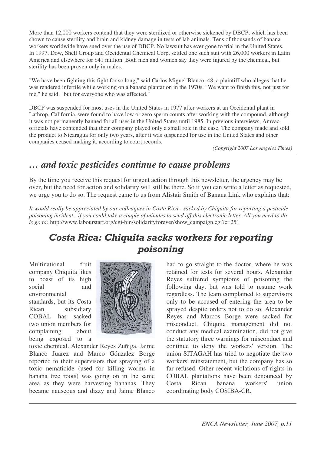More than 12,000 workers contend that they were sterilized or otherwise sickened by DBCP, which has been shown to cause sterility and brain and kidney damage in tests of lab animals. Tens of thousands of banana workers worldwide have sued over the use of DBCP. No lawsuit has ever gone to trial in the United States. In 1997, Dow, Shell Group and Occidental Chemical Corp. settled one such suit with 26,000 workers in Latin America and elsewhere for \$41 million. Both men and women say they were injured by the chemical, but sterility has been proven only in males.

"We have been fighting this fight for so long," said Carlos Miguel Blanco, 48, a plaintiff who alleges that he was rendered infertile while working on a banana plantation in the 1970s. "We want to finish this, not just for me," he said, "but for everyone who was affected."

DBCP was suspended for most uses in the United States in 1977 after workers at an Occidental plant in Lathrop, California, were found to have low or zero sperm counts after working with the compound, although it was not permanently banned for all uses in the United States until 1985. In previous interviews, Amvac officials have contended that their company played only a small role in the case. The company made and sold the product to Nicaragua for only two years, after it was suspended for use in the United States and other companies ceased making it, according to court records.

*(Copyright 2007 Los Angeles Times)*

## *… and toxic pesticides continue to cause problems*

By the time you receive this request for urgent action through this newsletter, the urgency may be over, but the need for action and solidarity will still be there. So if you can write a letter as requested, we urge you to do so. The request came to us from Alistair Smith of Banana Link who explains that:

It would really be appreciated by our colleagues in Costa Rica - sacked by Chiquita for reporting a pesticide poisoning incident - if you could take a couple of minutes to send off this electronic letter. All you need to do *is go to:* http://www.labourstart.org/cgi-bin/solidarityforever/show\_campaign.cgi?c=251

## Costa Rica: Chiquita sacks workers for reporting poisoning

Multinational fruit company Chiquita likes to boast of its high social and environmental standards, but its Costa Rican subsidiary COBAL has sacked

two union members for complaining about being exposed to a

toxic chemical. Alexander Reyes Zuñiga, Jaime Blanco Juarez and Marco Gónzalez Borge reported to their supervisors that spraying of a toxic nematicide (used for killing worms in banana tree roots) was going on in the same area as they were harvesting bananas. They became nauseous and dizzy and Jaime Blanco

had to go straight to the doctor, where he was retained for tests for several hours. Alexander Reyes suffered symptoms of poisoning the following day, but was told to resume work regardless. The team complained to supervisors only to be accused of entering the area to be sprayed despite orders not to do so. Alexander Reyes and Marcos Borge were sacked for misconduct. Chiquita management did not conduct any medical examination, did not give the statutory three warnings for misconduct and continue to deny the workers' version. The union SITAGAH has tried to negotiate the two workers' reinstatement, but the company has so far refused. Other recent violations of rights in COBAL plantations have been denounced by Costa Rican banana workers' union coordinating body COSIBA-CR.